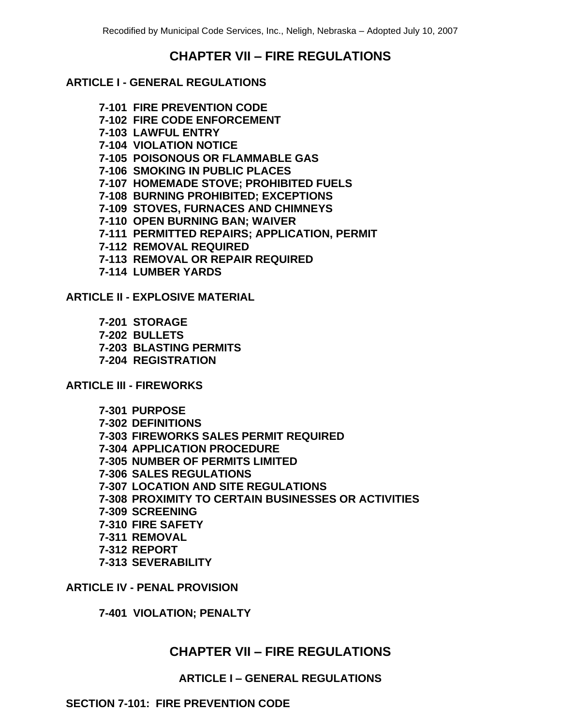# **CHAPTER VII – FIRE REGULATIONS**

#### **ARTICLE I - GENERAL REGULATIONS**

- **7-101 FIRE PREVENTION CODE**
- **7-102 FIRE CODE ENFORCEMENT**
- **7-103 LAWFUL ENTRY**
- **7-104 VIOLATION NOTICE**
- **7-105 POISONOUS OR FLAMMABLE GAS**
- **7-106 SMOKING IN PUBLIC PLACES**
- **7-107 HOMEMADE STOVE; PROHIBITED FUELS**
- **7-108 BURNING PROHIBITED; EXCEPTIONS**
- **7-109 STOVES, FURNACES AND CHIMNEYS**
- **7-110 OPEN BURNING BAN; WAIVER**
- **7-111 PERMITTED REPAIRS; APPLICATION, PERMIT**
- **7-112 REMOVAL REQUIRED**
- **7-113 REMOVAL OR REPAIR REQUIRED**
- **7-114 LUMBER YARDS**

**ARTICLE II - EXPLOSIVE MATERIAL**

- **7-201 STORAGE**
- **7-202 BULLETS**
- **7-203 BLASTING PERMITS**
- **7-204 REGISTRATION**

**ARTICLE III - FIREWORKS**

- **7-301 PURPOSE 7-302 DEFINITIONS 7-303 FIREWORKS SALES PERMIT REQUIRED 7-304 APPLICATION PROCEDURE 7-305 NUMBER OF PERMITS LIMITED 7-306 SALES REGULATIONS 7-307 LOCATION AND SITE REGULATIONS 7-308 PROXIMITY TO CERTAIN BUSINESSES OR ACTIVITIES 7-309 SCREENING 7-310 FIRE SAFETY 7-311 REMOVAL 7-312 REPORT**
- **7-313 SEVERABILITY**

**ARTICLE IV - PENAL PROVISION**

**7-401 VIOLATION; PENALTY**

# **CHAPTER VII – FIRE REGULATIONS**

#### **ARTICLE I – GENERAL REGULATIONS**

#### **SECTION 7-101: FIRE PREVENTION CODE**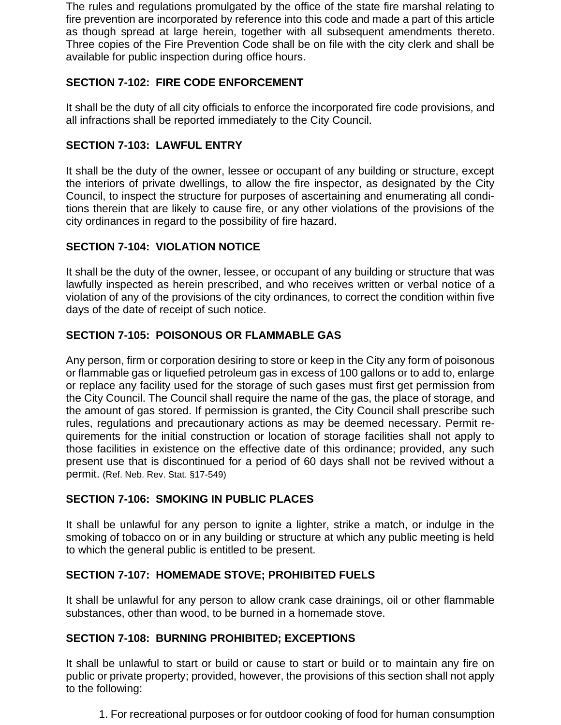The rules and regulations promulgated by the office of the state fire marshal relating to fire prevention are incorporated by reference into this code and made a part of this article as though spread at large herein, together with all subsequent amendments thereto. Three copies of the Fire Prevention Code shall be on file with the city clerk and shall be available for public inspection during office hours.

# **SECTION 7-102: FIRE CODE ENFORCEMENT**

It shall be the duty of all city officials to enforce the incorporated fire code provisions, and all infractions shall be reported immediately to the City Council.

## **SECTION 7-103: LAWFUL ENTRY**

It shall be the duty of the owner, lessee or occupant of any building or structure, except the interiors of private dwellings, to allow the fire inspector, as designated by the City Council, to inspect the structure for purposes of ascertaining and enumerating all conditions therein that are likely to cause fire, or any other violations of the provisions of the city ordinances in regard to the possibility of fire hazard.

# **SECTION 7-104: VIOLATION NOTICE**

It shall be the duty of the owner, lessee, or occupant of any building or structure that was lawfully inspected as herein prescribed, and who receives written or verbal notice of a violation of any of the provisions of the city ordinances, to correct the condition within five days of the date of receipt of such notice.

## **SECTION 7-105: POISONOUS OR FLAMMABLE GAS**

Any person, firm or corporation desiring to store or keep in the City any form of poisonous or flammable gas or liquefied petroleum gas in excess of 100 gallons or to add to, enlarge or replace any facility used for the storage of such gases must first get permission from the City Council. The Council shall require the name of the gas, the place of storage, and the amount of gas stored. If permission is granted, the City Council shall prescribe such rules, regulations and precautionary actions as may be deemed necessary. Permit requirements for the initial construction or location of storage facilities shall not apply to those facilities in existence on the effective date of this ordinance; provided, any such present use that is discontinued for a period of 60 days shall not be revived without a permit. (Ref. Neb. Rev. Stat. §17-549)

## **SECTION 7-106: SMOKING IN PUBLIC PLACES**

It shall be unlawful for any person to ignite a lighter, strike a match, or indulge in the smoking of tobacco on or in any building or structure at which any public meeting is held to which the general public is entitled to be present.

## **SECTION 7-107: HOMEMADE STOVE; PROHIBITED FUELS**

It shall be unlawful for any person to allow crank case drainings, oil or other flammable substances, other than wood, to be burned in a homemade stove.

## **SECTION 7-108: BURNING PROHIBITED; EXCEPTIONS**

It shall be unlawful to start or build or cause to start or build or to maintain any fire on public or private property; provided, however, the provisions of this section shall not apply to the following:

1. For recreational purposes or for outdoor cooking of food for human consumption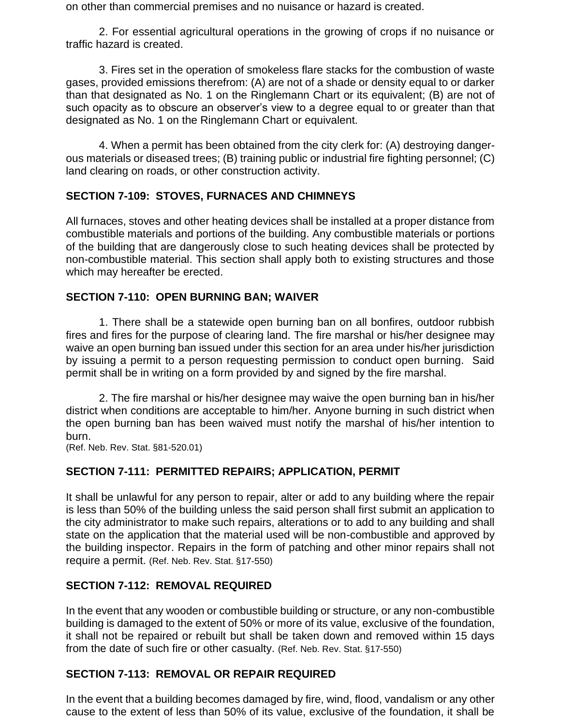on other than commercial premises and no nuisance or hazard is created.

2. For essential agricultural operations in the growing of crops if no nuisance or traffic hazard is created.

3. Fires set in the operation of smokeless flare stacks for the combustion of waste gases, provided emissions therefrom: (A) are not of a shade or density equal to or darker than that designated as No. 1 on the Ringlemann Chart or its equivalent; (B) are not of such opacity as to obscure an observer's view to a degree equal to or greater than that designated as No. 1 on the Ringlemann Chart or equivalent.

4. When a permit has been obtained from the city clerk for: (A) destroying dangerous materials or diseased trees; (B) training public or industrial fire fighting personnel; (C) land clearing on roads, or other construction activity.

### **SECTION 7-109: STOVES, FURNACES AND CHIMNEYS**

All furnaces, stoves and other heating devices shall be installed at a proper distance from combustible materials and portions of the building. Any combustible materials or portions of the building that are dangerously close to such heating devices shall be protected by non-combustible material. This section shall apply both to existing structures and those which may hereafter be erected.

### **SECTION 7-110: OPEN BURNING BAN; WAIVER**

1. There shall be a statewide open burning ban on all bonfires, outdoor rubbish fires and fires for the purpose of clearing land. The fire marshal or his/her designee may waive an open burning ban issued under this section for an area under his/her jurisdiction by issuing a permit to a person requesting permission to conduct open burning. Said permit shall be in writing on a form provided by and signed by the fire marshal.

2. The fire marshal or his/her designee may waive the open burning ban in his/her district when conditions are acceptable to him/her. Anyone burning in such district when the open burning ban has been waived must notify the marshal of his/her intention to burn.

(Ref. Neb. Rev. Stat. §81-520.01)

## **SECTION 7-111: PERMITTED REPAIRS; APPLICATION, PERMIT**

It shall be unlawful for any person to repair, alter or add to any building where the repair is less than 50% of the building unless the said person shall first submit an application to the city administrator to make such repairs, alterations or to add to any building and shall state on the application that the material used will be non-combustible and approved by the building inspector. Repairs in the form of patching and other minor repairs shall not require a permit. (Ref. Neb. Rev. Stat. §17-550)

## **SECTION 7-112: REMOVAL REQUIRED**

In the event that any wooden or combustible building or structure, or any non-combustible building is damaged to the extent of 50% or more of its value, exclusive of the foundation, it shall not be repaired or rebuilt but shall be taken down and removed within 15 days from the date of such fire or other casualty. (Ref. Neb. Rev. Stat. §17-550)

## **SECTION 7-113: REMOVAL OR REPAIR REQUIRED**

In the event that a building becomes damaged by fire, wind, flood, vandalism or any other cause to the extent of less than 50% of its value, exclusive of the foundation, it shall be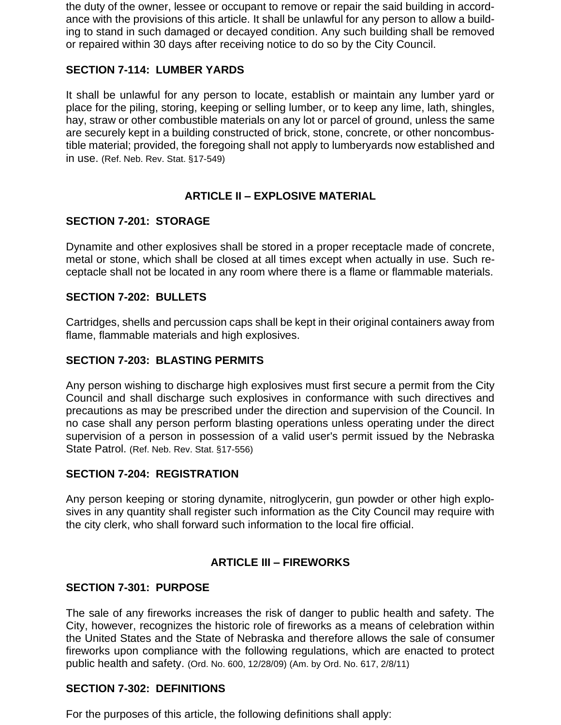the duty of the owner, lessee or occupant to remove or repair the said building in accordance with the provisions of this article. It shall be unlawful for any person to allow a building to stand in such damaged or decayed condition. Any such building shall be removed or repaired within 30 days after receiving notice to do so by the City Council.

### **SECTION 7-114: LUMBER YARDS**

It shall be unlawful for any person to locate, establish or maintain any lumber yard or place for the piling, storing, keeping or selling lumber, or to keep any lime, lath, shingles, hay, straw or other combustible materials on any lot or parcel of ground, unless the same are securely kept in a building constructed of brick, stone, concrete, or other noncombustible material; provided, the foregoing shall not apply to lumberyards now established and in use. (Ref. Neb. Rev. Stat. §17-549)

## **ARTICLE II – EXPLOSIVE MATERIAL**

### **SECTION 7-201: STORAGE**

Dynamite and other explosives shall be stored in a proper receptacle made of concrete, metal or stone, which shall be closed at all times except when actually in use. Such receptacle shall not be located in any room where there is a flame or flammable materials.

#### **SECTION 7-202: BULLETS**

Cartridges, shells and percussion caps shall be kept in their original containers away from flame, flammable materials and high explosives.

#### **SECTION 7-203: BLASTING PERMITS**

Any person wishing to discharge high explosives must first secure a permit from the City Council and shall discharge such explosives in conformance with such directives and precautions as may be prescribed under the direction and supervision of the Council. In no case shall any person perform blasting operations unless operating under the direct supervision of a person in possession of a valid user's permit issued by the Nebraska State Patrol. (Ref. Neb. Rev. Stat. §17-556)

#### **SECTION 7-204: REGISTRATION**

Any person keeping or storing dynamite, nitroglycerin, gun powder or other high explosives in any quantity shall register such information as the City Council may require with the city clerk, who shall forward such information to the local fire official.

#### **ARTICLE III – FIREWORKS**

#### **SECTION 7-301: PURPOSE**

The sale of any fireworks increases the risk of danger to public health and safety. The City, however, recognizes the historic role of fireworks as a means of celebration within the United States and the State of Nebraska and therefore allows the sale of consumer fireworks upon compliance with the following regulations, which are enacted to protect public health and safety. (Ord. No. 600, 12/28/09) (Am. by Ord. No. 617, 2/8/11)

#### **SECTION 7-302: DEFINITIONS**

For the purposes of this article, the following definitions shall apply: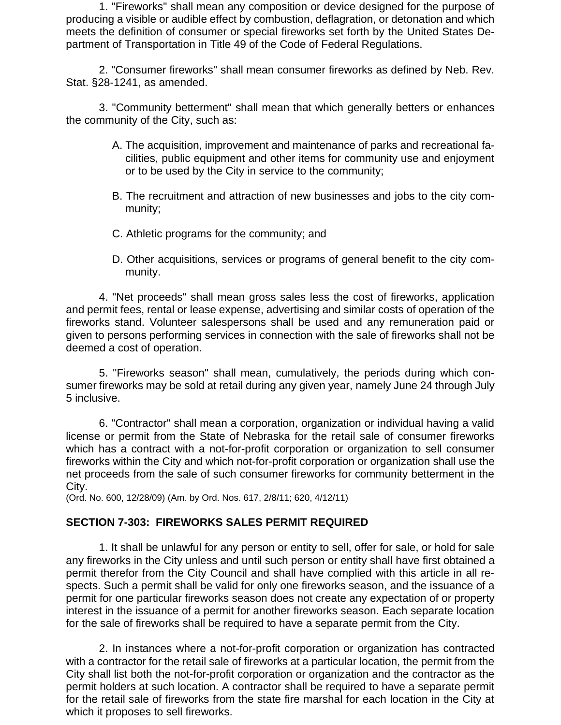1. "Fireworks" shall mean any composition or device designed for the purpose of producing a visible or audible effect by combustion, deflagration, or detonation and which meets the definition of consumer or special fireworks set forth by the United States Department of Transportation in Title 49 of the Code of Federal Regulations.

2. "Consumer fireworks" shall mean consumer fireworks as defined by Neb. Rev. Stat. §28-1241, as amended.

3. "Community betterment" shall mean that which generally betters or enhances the community of the City, such as:

- A. The acquisition, improvement and maintenance of parks and recreational facilities, public equipment and other items for community use and enjoyment or to be used by the City in service to the community;
- B. The recruitment and attraction of new businesses and jobs to the city community;
- C. Athletic programs for the community; and
- D. Other acquisitions, services or programs of general benefit to the city community.

4. "Net proceeds" shall mean gross sales less the cost of fireworks, application and permit fees, rental or lease expense, advertising and similar costs of operation of the fireworks stand. Volunteer salespersons shall be used and any remuneration paid or given to persons performing services in connection with the sale of fireworks shall not be deemed a cost of operation.

5. "Fireworks season" shall mean, cumulatively, the periods during which consumer fireworks may be sold at retail during any given year, namely June 24 through July 5 inclusive.

6. "Contractor" shall mean a corporation, organization or individual having a valid license or permit from the State of Nebraska for the retail sale of consumer fireworks which has a contract with a not-for-profit corporation or organization to sell consumer fireworks within the City and which not-for-profit corporation or organization shall use the net proceeds from the sale of such consumer fireworks for community betterment in the City.

(Ord. No. 600, 12/28/09) (Am. by Ord. Nos. 617, 2/8/11; 620, 4/12/11)

#### **SECTION 7-303: FIREWORKS SALES PERMIT REQUIRED**

1. It shall be unlawful for any person or entity to sell, offer for sale, or hold for sale any fireworks in the City unless and until such person or entity shall have first obtained a permit therefor from the City Council and shall have complied with this article in all respects. Such a permit shall be valid for only one fireworks season, and the issuance of a permit for one particular fireworks season does not create any expectation of or property interest in the issuance of a permit for another fireworks season. Each separate location for the sale of fireworks shall be required to have a separate permit from the City.

2. In instances where a not-for-profit corporation or organization has contracted with a contractor for the retail sale of fireworks at a particular location, the permit from the City shall list both the not-for-profit corporation or organization and the contractor as the permit holders at such location. A contractor shall be required to have a separate permit for the retail sale of fireworks from the state fire marshal for each location in the City at which it proposes to sell fireworks.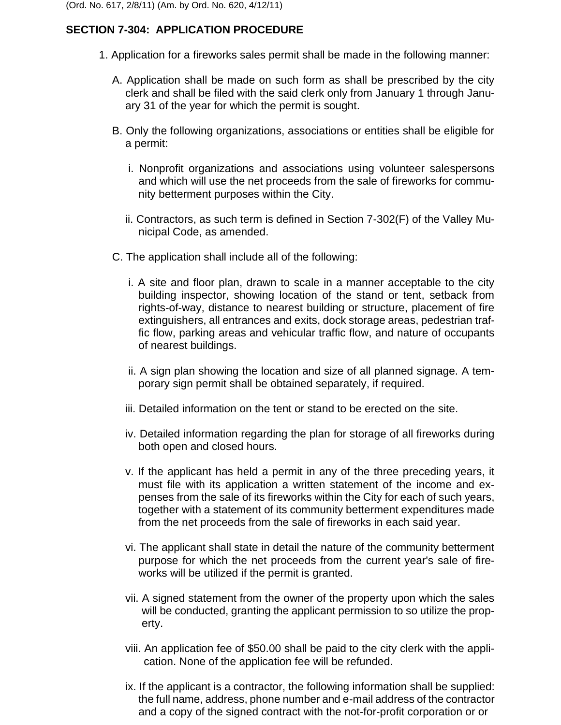# **SECTION 7-304: APPLICATION PROCEDURE**

- 1. Application for a fireworks sales permit shall be made in the following manner:
	- A. Application shall be made on such form as shall be prescribed by the city clerk and shall be filed with the said clerk only from January 1 through January 31 of the year for which the permit is sought.
	- B. Only the following organizations, associations or entities shall be eligible for a permit:
		- i. Nonprofit organizations and associations using volunteer salespersons and which will use the net proceeds from the sale of fireworks for community betterment purposes within the City.
		- ii. Contractors, as such term is defined in Section 7-302(F) of the Valley Municipal Code, as amended.
	- C. The application shall include all of the following:
		- i. A site and floor plan, drawn to scale in a manner acceptable to the city building inspector, showing location of the stand or tent, setback from rights-of-way, distance to nearest building or structure, placement of fire extinguishers, all entrances and exits, dock storage areas, pedestrian traffic flow, parking areas and vehicular traffic flow, and nature of occupants of nearest buildings.
		- ii. A sign plan showing the location and size of all planned signage. A temporary sign permit shall be obtained separately, if required.
		- iii. Detailed information on the tent or stand to be erected on the site.
		- iv. Detailed information regarding the plan for storage of all fireworks during both open and closed hours.
		- v. If the applicant has held a permit in any of the three preceding years, it must file with its application a written statement of the income and expenses from the sale of its fireworks within the City for each of such years, together with a statement of its community betterment expenditures made from the net proceeds from the sale of fireworks in each said year.
		- vi. The applicant shall state in detail the nature of the community betterment purpose for which the net proceeds from the current year's sale of fireworks will be utilized if the permit is granted.
		- vii. A signed statement from the owner of the property upon which the sales will be conducted, granting the applicant permission to so utilize the property.
		- viii. An application fee of \$50.00 shall be paid to the city clerk with the application. None of the application fee will be refunded.
		- ix. If the applicant is a contractor, the following information shall be supplied: the full name, address, phone number and e-mail address of the contractor and a copy of the signed contract with the not-for-profit corporation or or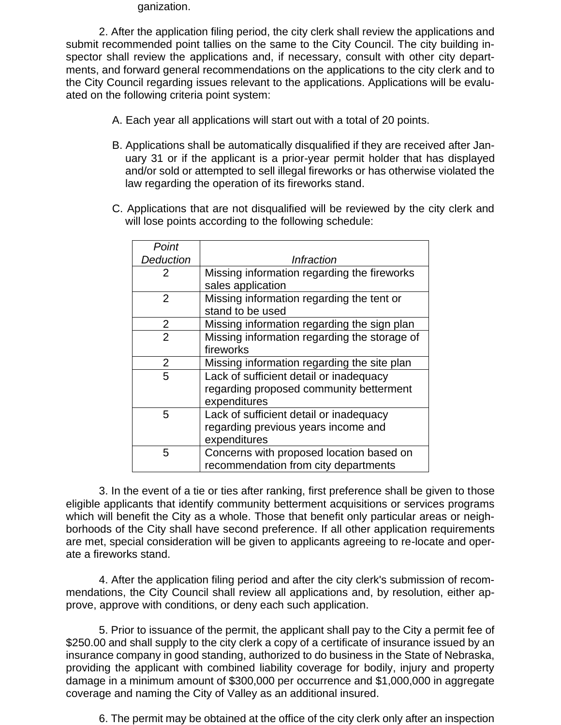ganization.

2. After the application filing period, the city clerk shall review the applications and submit recommended point tallies on the same to the City Council. The city building inspector shall review the applications and, if necessary, consult with other city departments, and forward general recommendations on the applications to the city clerk and to the City Council regarding issues relevant to the applications. Applications will be evaluated on the following criteria point system:

- A. Each year all applications will start out with a total of 20 points.
- B. Applications shall be automatically disqualified if they are received after January 31 or if the applicant is a prior-year permit holder that has displayed and/or sold or attempted to sell illegal fireworks or has otherwise violated the law regarding the operation of its fireworks stand.
- C. Applications that are not disqualified will be reviewed by the city clerk and will lose points according to the following schedule:

| Point            |                                              |
|------------------|----------------------------------------------|
| <b>Deduction</b> | <i><b>Infraction</b></i>                     |
| 2                | Missing information regarding the fireworks  |
|                  | sales application                            |
| $\overline{2}$   | Missing information regarding the tent or    |
|                  | stand to be used                             |
| 2                | Missing information regarding the sign plan  |
| $\overline{2}$   | Missing information regarding the storage of |
|                  | fireworks                                    |
| 2                | Missing information regarding the site plan  |
| 5                | Lack of sufficient detail or inadequacy      |
|                  | regarding proposed community betterment      |
|                  | expenditures                                 |
| 5                | Lack of sufficient detail or inadequacy      |
|                  | regarding previous years income and          |
|                  | expenditures                                 |
| 5                | Concerns with proposed location based on     |
|                  | recommendation from city departments         |

3. In the event of a tie or ties after ranking, first preference shall be given to those eligible applicants that identify community betterment acquisitions or services programs which will benefit the City as a whole. Those that benefit only particular areas or neighborhoods of the City shall have second preference. If all other application requirements are met, special consideration will be given to applicants agreeing to re-locate and operate a fireworks stand.

4. After the application filing period and after the city clerk's submission of recommendations, the City Council shall review all applications and, by resolution, either approve, approve with conditions, or deny each such application.

5. Prior to issuance of the permit, the applicant shall pay to the City a permit fee of \$250.00 and shall supply to the city clerk a copy of a certificate of insurance issued by an insurance company in good standing, authorized to do business in the State of Nebraska, providing the applicant with combined liability coverage for bodily, injury and property damage in a minimum amount of \$300,000 per occurrence and \$1,000,000 in aggregate coverage and naming the City of Valley as an additional insured.

6. The permit may be obtained at the office of the city clerk only after an inspection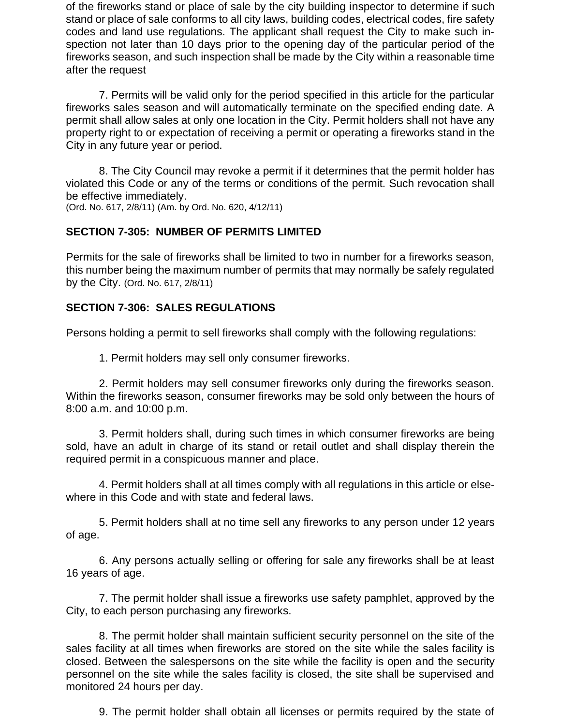of the fireworks stand or place of sale by the city building inspector to determine if such stand or place of sale conforms to all city laws, building codes, electrical codes, fire safety codes and land use regulations. The applicant shall request the City to make such inspection not later than 10 days prior to the opening day of the particular period of the fireworks season, and such inspection shall be made by the City within a reasonable time after the request

7. Permits will be valid only for the period specified in this article for the particular fireworks sales season and will automatically terminate on the specified ending date. A permit shall allow sales at only one location in the City. Permit holders shall not have any property right to or expectation of receiving a permit or operating a fireworks stand in the City in any future year or period.

8. The City Council may revoke a permit if it determines that the permit holder has violated this Code or any of the terms or conditions of the permit. Such revocation shall be effective immediately.

(Ord. No. 617, 2/8/11) (Am. by Ord. No. 620, 4/12/11)

### **SECTION 7-305: NUMBER OF PERMITS LIMITED**

Permits for the sale of fireworks shall be limited to two in number for a fireworks season, this number being the maximum number of permits that may normally be safely regulated by the City. (Ord. No. 617, 2/8/11)

#### **SECTION 7-306: SALES REGULATIONS**

Persons holding a permit to sell fireworks shall comply with the following regulations:

1. Permit holders may sell only consumer fireworks.

2. Permit holders may sell consumer fireworks only during the fireworks season. Within the fireworks season, consumer fireworks may be sold only between the hours of 8:00 a.m. and 10:00 p.m.

3. Permit holders shall, during such times in which consumer fireworks are being sold, have an adult in charge of its stand or retail outlet and shall display therein the required permit in a conspicuous manner and place.

4. Permit holders shall at all times comply with all regulations in this article or elsewhere in this Code and with state and federal laws.

5. Permit holders shall at no time sell any fireworks to any person under 12 years of age.

6. Any persons actually selling or offering for sale any fireworks shall be at least 16 years of age.

7. The permit holder shall issue a fireworks use safety pamphlet, approved by the City, to each person purchasing any fireworks.

8. The permit holder shall maintain sufficient security personnel on the site of the sales facility at all times when fireworks are stored on the site while the sales facility is closed. Between the salespersons on the site while the facility is open and the security personnel on the site while the sales facility is closed, the site shall be supervised and monitored 24 hours per day.

9. The permit holder shall obtain all licenses or permits required by the state of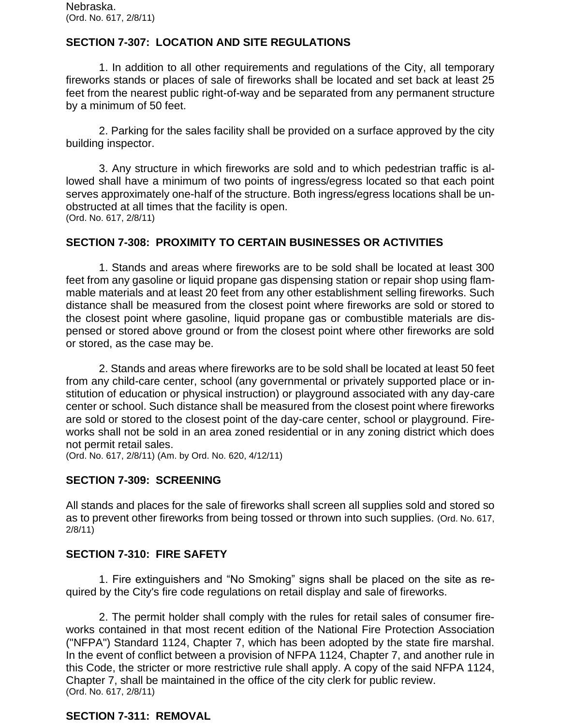## **SECTION 7-307: LOCATION AND SITE REGULATIONS**

1. In addition to all other requirements and regulations of the City, all temporary fireworks stands or places of sale of fireworks shall be located and set back at least 25 feet from the nearest public right-of-way and be separated from any permanent structure by a minimum of 50 feet.

2. Parking for the sales facility shall be provided on a surface approved by the city building inspector.

3. Any structure in which fireworks are sold and to which pedestrian traffic is allowed shall have a minimum of two points of ingress/egress located so that each point serves approximately one-half of the structure. Both ingress/egress locations shall be unobstructed at all times that the facility is open. (Ord. No. 617, 2/8/11)

#### **SECTION 7-308: PROXIMITY TO CERTAIN BUSINESSES OR ACTIVITIES**

1. Stands and areas where fireworks are to be sold shall be located at least 300 feet from any gasoline or liquid propane gas dispensing station or repair shop using flammable materials and at least 20 feet from any other establishment selling fireworks. Such distance shall be measured from the closest point where fireworks are sold or stored to the closest point where gasoline, liquid propane gas or combustible materials are dispensed or stored above ground or from the closest point where other fireworks are sold or stored, as the case may be.

2. Stands and areas where fireworks are to be sold shall be located at least 50 feet from any child-care center, school (any governmental or privately supported place or institution of education or physical instruction) or playground associated with any day-care center or school. Such distance shall be measured from the closest point where fireworks are sold or stored to the closest point of the day-care center, school or playground. Fireworks shall not be sold in an area zoned residential or in any zoning district which does not permit retail sales.

(Ord. No. 617, 2/8/11) (Am. by Ord. No. 620, 4/12/11)

#### **SECTION 7-309: SCREENING**

All stands and places for the sale of fireworks shall screen all supplies sold and stored so as to prevent other fireworks from being tossed or thrown into such supplies. (Ord. No. 617, 2/8/11)

#### **SECTION 7-310: FIRE SAFETY**

1. Fire extinguishers and "No Smoking" signs shall be placed on the site as required by the City's fire code regulations on retail display and sale of fireworks.

2. The permit holder shall comply with the rules for retail sales of consumer fireworks contained in that most recent edition of the National Fire Protection Association ("NFPA") Standard 1124, Chapter 7, which has been adopted by the state fire marshal. In the event of conflict between a provision of NFPA 1124, Chapter 7, and another rule in this Code, the stricter or more restrictive rule shall apply. A copy of the said NFPA 1124, Chapter 7, shall be maintained in the office of the city clerk for public review. (Ord. No. 617, 2/8/11)

#### **SECTION 7-311: REMOVAL**